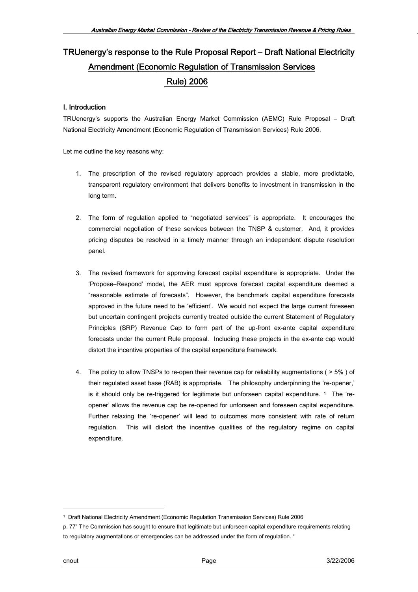# TRUenergy's response to the Rule Proposal Report – Draft National Electricity Amendment (Economic Regulation of Transmission Services Rule) 2006

### I. Introduction

TRUenergy's supports the Australian Energy Market Commission (AEMC) Rule Proposal – Draft National Electricity Amendment (Economic Regulation of Transmission Services) Rule 2006.

Let me outline the key reasons why:

- 1. The prescription of the revised regulatory approach provides a stable, more predictable, transparent regulatory environment that delivers benefits to investment in transmission in the long term.
- 2. The form of regulation applied to "negotiated services" is appropriate. It encourages the commercial negotiation of these services between the TNSP & customer. And, it provides pricing disputes be resolved in a timely manner through an independent dispute resolution panel.
- 3. The revised framework for approving forecast capital expenditure is appropriate. Under the 'Propose–Respond' model, the AER must approve forecast capital expenditure deemed a "reasonable estimate of forecasts". However, the benchmark capital expenditure forecasts approved in the future need to be 'efficient'. We would not expect the large current foreseen but uncertain contingent projects currently treated outside the current Statement of Regulatory Principles (SRP) Revenue Cap to form part of the up-front ex-ante capital expenditure forecasts under the current Rule proposal. Including these projects in the ex-ante cap would distort the incentive properties of the capital expenditure framework.
- 4. The policy to allow TNSPs to re-open their revenue cap for reliability augmentations ( > 5% ) of their regulated asset base (RAB) is appropriate. The philosophy underpinning the 're-opener,' is it should only be re-triggered for legitimate but unforseen capital expenditure.  $1$  The 'reopener' allows the revenue cap be re-opened for unforseen and foreseen capital expenditure. Further relaxing the 're-opener' will lead to outcomes more consistent with rate of return regulation. This will distort the incentive qualities of the regulatory regime on capital expenditure.

<u>.</u>

<span id="page-0-0"></span><sup>1</sup> Draft National Electricity Amendment (Economic Regulation Transmission Services) Rule 2006

p. 77" The Commission has sought to ensure that legitimate but unforseen capital expenditure requirements relating to regulatory augmentations or emergencies can be addressed under the form of regulation. "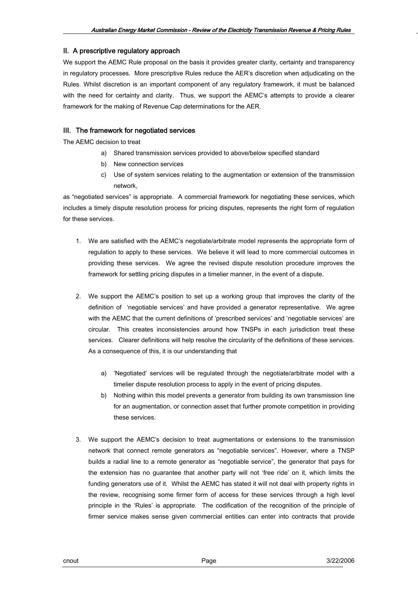#### II. A prescriptive regulatory approach

We support the AEMC Rule proposal on the basis it provides greater clarity, certainty and transparency in regulatory processes. More prescriptive Rules reduce the AER's discretion when adjudicating on the Rules. Whilst discretion is an important component of any regulatory framework, it must be balanced with the need for certainty and clarity. Thus, we support the AEMC's attempts to provide a clearer framework for the making of Revenue Cap determinations for the AER.

### III. The framework for negotiated services

The AEMC decision to treat

- a) Shared transmission services provided to above/below specified standard
- b) New connection services
- c) Use of system services relating to the augmentation or extension of the transmission network,

as "negotiated services" is appropriate. A commercial framework for negotiating these services, which includes a timely dispute resolution process for pricing disputes, represents the right form of regulation for these services.

- 1. We are satisfied with the AEMC's negotiate/arbitrate model represents the appropriate form of regulation to apply to these services. We believe it will lead to more commercial outcomes in providing these services. We agree the revised dispute resolution procedure improves the framework for settling pricing disputes in a timelier manner, in the event of a dispute.
- 2. We support the AEMC's position to set up a working group that improves the clarity of the definition of 'negotiable services' and have provided a generator representative. We agree with the AEMC that the current definitions of 'prescribed services' and 'negotiable services' are circular. This creates inconsistencies around how TNSPs in each jurisdiction treat these services. Clearer definitions will help resolve the circularity of the definitions of these services. As a consequence of this, it is our understanding that
	- a) 'Negotiated' services will be regulated through the negotiate/arbitrate model with a timelier dispute resolution process to apply in the event of pricing disputes.
	- b) Nothing within this model prevents a generator from building its own transmission line for an augmentation, or connection asset that further promote competition in providing these services.
- 3. We support the AEMC's decision to treat augmentations or extensions to the transmission network that connect remote generators as "negotiable services". However, where a TNSP builds a radial line to a remote generator as "negotiable service", the generator that pays for the extension has no guarantee that another party will not 'free ride' on it, which limits the funding generators use of it. Whilst the AEMC has stated it will not deal with property rights in the review, recognising some firmer form of access for these services through a high level principle in the 'Rules' is appropriate. The codification of the recognition of the principle of firmer service makes sense given commercial entities can enter into contracts that provide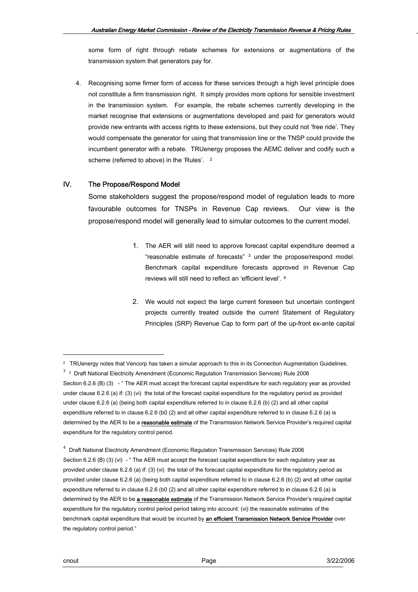some form of right through rebate schemes for extensions or augmentations of the transmission system that generators pay for.

4. Recognising some firmer form of access for these services through a high level principle does not constitute a firm transmission right. It simply provides more options for sensible investment in the transmission system. For example, the rebate schemes currently developing in the market recognise that extensions or augmentations developed and paid for generators would provide new entrants with access rights to these extensions, but they could not 'free ride'. They would compensate the generator for using that transmission line or the TNSP could provide the incumbent generator with a rebate. TRUenergy proposes the AEMC deliver and codify such a scheme (referred to above) in the 'Rules'. <sup>[2](#page-2-0)</sup>

### IV. The Propose/Respond Model

Some stakeholders suggest the propose/respond model of regulation leads to more favourable outcomes for TNSPs in Revenue Cap reviews. Our view is the propose/respond model will generally lead to simular outcomes to the current model.

- 1. The AER will still need to approve forecast capital expenditure deemed a "reasonable estimate of forecasts" [3](#page-2-1) under the propose/respond model. Benchmark capital expenditure forecasts approved in Revenue Cap reviews will still need to reflect an 'efficient level'. [4](#page-2-2)
- 2. We would not expect the large current foreseen but uncertain contingent projects currently treated outside the current Statement of Regulatory Principles (SRP) Revenue Cap to form part of the up-front ex-ante capital

<u>.</u>

<span id="page-2-0"></span><sup>2</sup> TRUenergy notes that Vencorp has taken a simular approach to this in its Connection Augmentation Guidelines.

 $3\,$  3 Draft National Electricity Amendment (Economic Regulation Transmission Services) Rule 2006

<span id="page-2-1"></span>Section 6.2.6 (B) (3) - " The AER must accept the forecast capital expenditure for each regulatory year as provided under clause 6.2.6 (a) if: (3) (vi) the total of the forecast capital expenditure for the regulatory period as provided under clause 6.2.6 (a) (being both capital expenditure referred to in clause 6.2.6 (b) (2) and all other capital expenditure referred to in clause 6.2.6 (b0 (2) and all other capital expenditure referred to in clause 6.2.6 (a) is determined by the AER to be a reasonable estimate of the Transmission Network Service Provider's required capital expenditure for the regulatory control period.

<span id="page-2-2"></span><sup>&</sup>lt;sup>4</sup> Draft National Electricity Amendment (Economic Regulation Transmission Services) Rule 2006 Section 6.2.6 (B) (3) (vi) - " The AER must accept the forecast capital expenditure for each regulatory year as provided under clause 6.2.6 (a) if: (3) (vi) the total of the forecast capital expenditure for the regulatory period as provided under clause 6.2.6 (a) (being both capital expenditure referred to in clause 6.2.6 (b) (2) and all other capital expenditure referred to in clause 6.2.6 (b0 (2) and all other capital expenditure referred to in clause 6.2.6 (a) is determined by the AER to be a reasonable estimate of the Transmission Network Service Provider's required capital expenditure for the regulatory control period period taking into account: (vi) the reasonable estimates of the benchmark capital expenditure that would be incurred by an efficient Transmission Network Service Provider over the regulatory control period."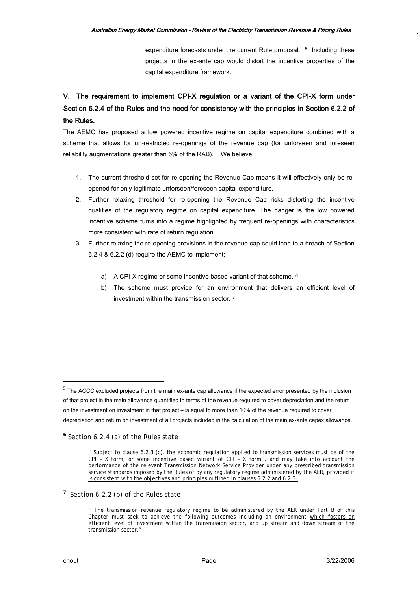expenditure forecasts under the current Rule proposal. <sup>[5](#page-3-0)</sup> Including these projects in the ex-ante cap would distort the incentive properties of the capital expenditure framework.

## V. The requirement to implement CPI-X regulation or a variant of the CPI-X form under Section 6.2.4 of the Rules and the need for consistency with the principles in Section 6.2.2 of the Rules.

The AEMC has proposed a low powered incentive regime on capital expenditure combined with a scheme that allows for un-restricted re-openings of the revenue cap (for unforseen and foreseen reliability augmentations greater than 5% of the RAB). We believe;

- 1. The current threshold set for re-opening the Revenue Cap means it will effectively only be reopened for only legitimate unforseen/foreseen capital expenditure.
- 2. Further relaxing threshold for re-opening the Revenue Cap risks distorting the incentive qualities of the regulatory regime on capital expenditure. The danger is the low powered incentive scheme turns into a regime highlighted by frequent re-openings with characteristics more consistent with rate of return regulation.
- 3. Further relaxing the re-opening provisions in the revenue cap could lead to a breach of Section 6.2.4 & 6.2.2 (d) require the AEMC to implement;
	- a) A CPI-X regime or some incentive based variant of that scheme. <sup>[6](#page-3-1)</sup>
	- b) The scheme must provide for an environment that delivers an efficient level of investment within the transmission sector. [7](#page-3-2)

<span id="page-3-2"></span><sup>7</sup> Section 6.2.2 (b) of the Rules state

1

<span id="page-3-0"></span> $<sup>5</sup>$  The ACCC excluded projects from the main ex-ante cap allowance if the expected error presented by the inclusion</sup> of that project in the main allowance quantified in terms of the revenue required to cover depreciation and the return on the investment on investment in that project – is equal to more than 10% of the revenue required to cover depreciation and return on investment of all projects included in the calculation of the main ex-ante capex allowance.

<span id="page-3-1"></span>**<sup>6</sup>** Section 6.2.4 (a) of the Rules state

<sup>&</sup>quot; Subject to clause 6.2.3 (c), the economic regulation applied to transmission services must be of the CPI - X form, or some incentive based variant of  $CPI - X$  form, and may take into account the performance of the relevant Transmission Network Service Provider under any prescribed transmission service standards imposed by the Rules or by any regulatory regime administered by the AER, provided it is consistent with the objectives and principles outlined in clauses 6.2.2 and 6.2.3.

<sup>&</sup>quot; The transmission revenue regulatory regime to be administered by the AER under Part B of this Chapter must seek to achieve the following outcomes including an environment which fosters an efficient level of investment within the transmission sector, and up stream and down stream of the transmission sector."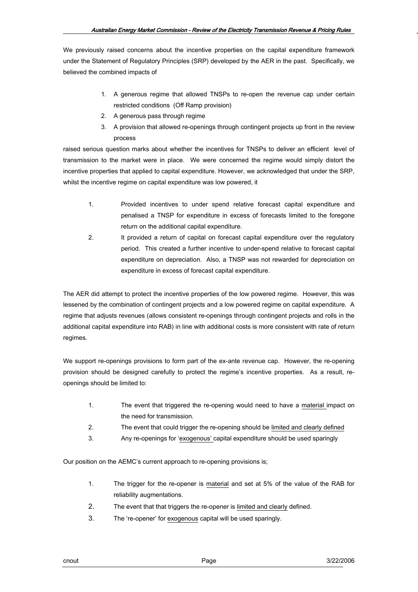We previously raised concerns about the incentive properties on the capital expenditure framework under the Statement of Regulatory Principles (SRP) developed by the AER in the past. Specifically, we believed the combined impacts of

- 1. A generous regime that allowed TNSPs to re-open the revenue cap under certain restricted conditions (Off Ramp provision)
- 2. A generous pass through regime
- 3. A provision that allowed re-openings through contingent projects up front in the review process

raised serious question marks about whether the incentives for TNSPs to deliver an efficient level of transmission to the market were in place. We were concerned the regime would simply distort the incentive properties that applied to capital expenditure. However, we acknowledged that under the SRP, whilst the incentive regime on capital expenditure was low powered, it

- 1. Provided incentives to under spend relative forecast capital expenditure and penalised a TNSP for expenditure in excess of forecasts limited to the foregone return on the additional capital expenditure.
- 2. It provided a return of capital on forecast capital expenditure over the regulatory period. This created a further incentive to under-spend relative to forecast capital expenditure on depreciation. Also, a TNSP was not rewarded for depreciation on expenditure in excess of forecast capital expenditure.

The AER did attempt to protect the incentive properties of the low powered regime. However, this was lessened by the combination of contingent projects and a low powered regime on capital expenditure. A regime that adjusts revenues (allows consistent re-openings through contingent projects and rolls in the additional capital expenditure into RAB) in line with additional costs is more consistent with rate of return regimes.

We support re-openings provisions to form part of the ex-ante revenue cap. However, the re-opening provision should be designed carefully to protect the regime's incentive properties. As a result, reopenings should be limited to:

- 1. The event that triggered the re-opening would need to have a material impact on the need for transmission.
- 2. The event that could trigger the re-opening should be limited and clearly defined
- 3. Any re-openings for 'exogenous' capital expenditure should be used sparingly

Our position on the AEMC's current approach to re-opening provisions is;

- 1. The trigger for the re-opener is material and set at 5% of the value of the RAB for reliability augmentations.
- 2. The event that that triggers the re-opener is limited and clearly defined.
- 3. The 're-opener' for exogenous capital will be used sparingly.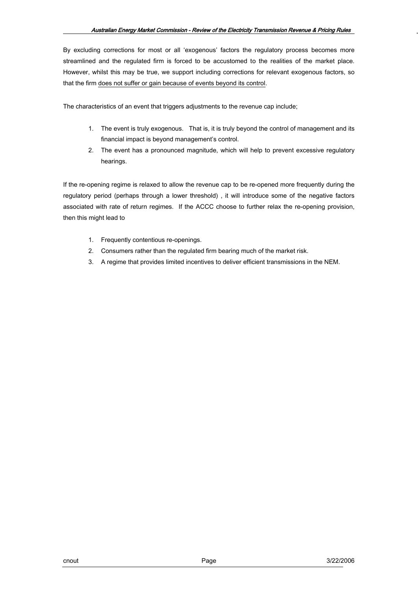By excluding corrections for most or all 'exogenous' factors the regulatory process becomes more streamlined and the regulated firm is forced to be accustomed to the realities of the market place. However, whilst this may be true, we support including corrections for relevant exogenous factors, so that the firm does not suffer or gain because of events beyond its control.

The characteristics of an event that triggers adjustments to the revenue cap include;

- 1. The event is truly exogenous. That is, it is truly beyond the control of management and its financial impact is beyond management's control.
- 2. The event has a pronounced magnitude, which will help to prevent excessive regulatory hearings.

If the re-opening regime is relaxed to allow the revenue cap to be re-opened more frequently during the regulatory period (perhaps through a lower threshold) , it will introduce some of the negative factors associated with rate of return regimes. If the ACCC choose to further relax the re-opening provision, then this might lead to

- 1. Frequently contentious re-openings.
- 2. Consumers rather than the regulated firm bearing much of the market risk.
- 3. A regime that provides limited incentives to deliver efficient transmissions in the NEM.